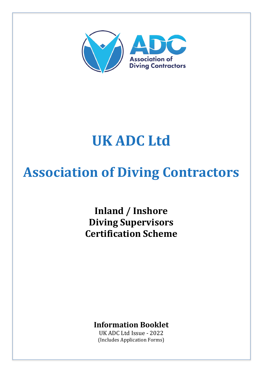

# **UK ADC Ltd**

# **Association of Diving Contractors**

Inland / Inshore **Diving Supervisors Certification Scheme**

**Information Booklet**

UK ADC Ltd Issue - 2022 (Includes Application Forms)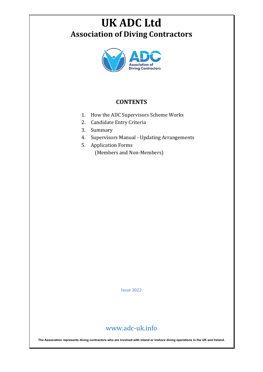# **UK ADC Ltd Association of Diving Contractors**



### **CONTENTS**

- 1. How the ADC Supervisors Scheme Works
- 2. Candidate Entry Criteria
- 3. Summary
- 4. Supervisors Manual Updating Arrangements
- 5. Application Forms (Members and Non-Members)

Issue 2022

## www.adc-uk.info

**The Association represents diving contractors who are involved with inland or inshore diving operations in the UK and Ireland.**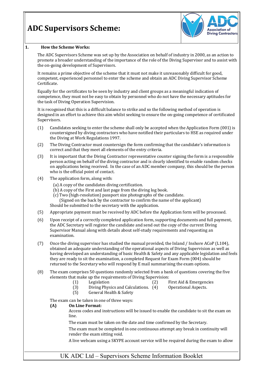# **ADC Supervisors Scheme:**



#### 1. **How the Scheme Works:**

The ADC Supervisors Scheme was set up by the Association on behalf of industry in 2000, as an action to promote a broader understanding of the importance of the role of the Diving Supervisor and to assist with the on-going development of Supervisors.

It remains a prime objective of the scheme that it must not make it unreasonably difficult for good, competent, experienced personnel to enter the scheme and obtain an ADC Diving Supervisor Scheme Certificate. 

Equally for the certificates to be seen by industry and client groups as a meaningful indication of competence, they must not be easy to obtain by personnel who do not have the necessary aptitudes for the task of Diving Operation Supervision.

It is recognised that this is a difficult balance to strike and so the following method of operation is designed in an effort to achieve this aim whilst seeking to ensure the on-going competence of certificated Supervisors.

- $(1)$  Candidates seeking to enter the scheme shall only be accepted when the Application Form  $(001)$  is countersigned by diving contractors who have notified their particulars to HSE as required under the Diving at Work Regulations 1997.
- (2) The Diving Contractor must countersign the form confirming that the candidate's information is correct and that they meet all elements of the entry criteria.
- (3) It is important that the Diving Contractor representative counter signing the form is a responsible person acting on behalf of the diving contractor and is clearly identified to enable random checks on applications being received. In the case of an ADC member company, this should be the person who is the official point of contact.
- $(4)$  The application form, along with:
	- (a) A copy of the candidates diving certification.
	- (b) A copy of the First and last page from the diving log book.
	- (c) Two (high-resolution) passport size photographs of the candidate.
	- (Signed on the back by the contractor to confirm the name of the applicant)

Should be submitted to the secretary with the application.

- (5) Appropriate payment must be received by ADC before the Application form will be processed.
- (6) Upon receipt of a correctly completed application form, supporting documents and full payment, the ADC Secretary will register the candidate and send out the copy of the current Diving Supervisor Manual along with details about self-study requirements and requesting an examination.
- (7) Once the diving supervisor has studied the manual provided, the Inland / Inshore ACoP (L104), obtained an adequate understanding of the operational aspects of Diving Supervision as well as having developed an understanding of basic Health & Safety and any applicable legislation and feels they are ready to sit the examination, a completed Request for Exam Form (004) should be returned to the Secretary who will respond by E mail summarising the exam options.
- (8) The exam comprises 50 questions randomly selected from a bank of questions covering the five elements that make up the requirements of Diving Supervision:<br>(1) Legislation (2) F
	-
	- (1) Legislation (2) First Aid & Emergencies
	- $(3)$  Diving Physics and Calculations.  $(4)$  Operational Aspects.
	- (5) General Health & Safety
- 
- 

The exam can be taken in one of three ways:

#### **(A)** On Line Format:

Access codes and instructions will be issued to enable the candidate to sit the exam on line. 

The exam must be taken on the date and time confirmed by the Secretary.

The exam must be completed in one continuous attempt any break in continuity will render the exam sitting void.

A live webcam using a SKYPE account service will be required during the exam to allow

#### UK ADC Ltd – Supervisors Scheme Information Booklet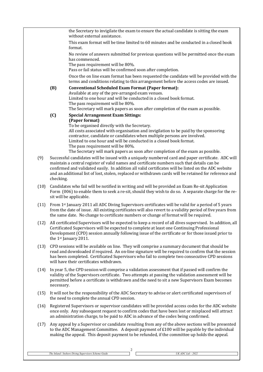|      |            | the Secretary to invigilate the exam to ensure the actual candidate is sitting the exam<br>without external assistance.                                                                                                                                                                                                                                                                                             |
|------|------------|---------------------------------------------------------------------------------------------------------------------------------------------------------------------------------------------------------------------------------------------------------------------------------------------------------------------------------------------------------------------------------------------------------------------|
|      |            | This exam format will be time limited to 60 minutes and be conducted in a closed book<br>format.                                                                                                                                                                                                                                                                                                                    |
|      |            | No review of answers submitted for previous questions will be permitted once the exam<br>has commenced.                                                                                                                                                                                                                                                                                                             |
|      |            | The pass requirement will be 80%.<br>Pass or fail status will be confirmed soon after completion.                                                                                                                                                                                                                                                                                                                   |
|      |            | Once the on line exam format has been requested the candidate will be provided with the<br>terms and conditions relating to this arrangement before the access codes are issued.                                                                                                                                                                                                                                    |
|      | (B)        | <b>Conventional Scheduled Exam Format (Paper format):</b><br>Available at any of the pre-arranged exam venues.                                                                                                                                                                                                                                                                                                      |
|      |            | Limited to one hour and will be conducted in a closed book format.<br>The pass requirement will be 80%.<br>The Secretary will mark papers as soon after completion of the exam as possible.                                                                                                                                                                                                                         |
|      | (C)        | <b>Special Arrangement Exam Sittings:</b>                                                                                                                                                                                                                                                                                                                                                                           |
|      |            | (Paper format)<br>To be organised directly with the Secretary.                                                                                                                                                                                                                                                                                                                                                      |
|      |            | All costs associated with organisation and invigilation to be paid by the sponsoring<br>contractor, candidate or candidates when multiple persons are involved.<br>Limited to one hour and will be conducted in a closed book format.<br>The pass requirement will be 80%.                                                                                                                                          |
|      |            | The Secretary will mark papers as soon after completion of the exam as possible.                                                                                                                                                                                                                                                                                                                                    |
| (9)  | checking.  | Successful candidates will be issued with a uniquely numbered card and paper certificate. ADC will<br>maintain a central register of valid names and certificate numbers such that details can be<br>confirmed and validated easily. In addition all valid certificates will be listed on the ADC website<br>and an additional list of lost, stolen, replaced or withdrawn cards will be retained for reference and |
| (10) |            | Candidates who fail will be notified in writing and will be provided an Exam Re-sit Application<br>Form (006) to enable them to seek a re-sit, should they wish to do so. A separate charge for the re-<br>sit will be applicable.                                                                                                                                                                                  |
| (11) |            | From 1st January 2011 all ADC Diving Supervisors certificates will be valid for a period of 5 years<br>from the date of issue. All existing certificates will also revert to a validity period of five years from<br>the same date. No change to certificate numbers or change of format will be required.                                                                                                          |
| (12) |            | All certificated Supervisors will be expected to keep a record of all dives supervised. In addition, all<br>Certificated Supervisors will be expected to complete at least one Continuing Professional<br>Development (CPD) session annually following issue of the certificate or for those issued prior to<br>the 1 <sup>st</sup> January 2011.                                                                   |
| (13) |            | CPD sessions will be available on line. They will comprise a summary document that should be<br>read and downloaded if required. An on-line signature will be required to confirm that the session<br>has been completed. Certificated Supervisors who fail to complete two consecutive CPD sessions<br>will have their certificates withdrawn.                                                                     |
| (14) | necessary. | In year 5, the CPD session will comprise a validation assessment that if passed will confirm the<br>validity of the Supervisors certificate. Two attempts at passing the validation assessment will be<br>permitted before a certificate is withdrawn and the need to sit a new Supervisors Exam becomes                                                                                                            |
| (15) |            | It will not be the responsibility of the ADC Secretary to advise or alert certificated supervisors of<br>the need to complete the annual CPD session.                                                                                                                                                                                                                                                               |
| (16) |            | Registered Supervisors or supervisor candidates will be provided access codes for the ADC website<br>once only. Any subsequent request to confirm codes that have been lost or misplaced will attract<br>an administration charge, to be paid to ADC in advance of the codes being confirmed.                                                                                                                       |
| (17) |            | Any appeal by a Supervisor or candidate resulting from any of the above sections will be presented<br>to the ADC Management Committee. A deposit payment of £100 will be payable by the individual<br>making the appeal. This deposit payment to be refunded, if the committee up holds the appeal.                                                                                                                 |
|      |            |                                                                                                                                                                                                                                                                                                                                                                                                                     |

*The Inland / Inshore Diving Supervisors Scheme Guide UK ADC Ltd – 2022* 

Г

 $\overline{\phantom{a}}^2$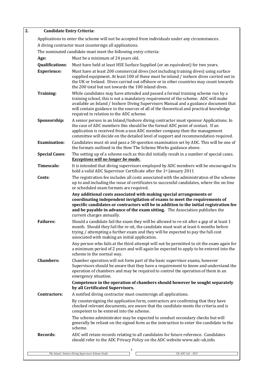#### **2. Candidate Entry Criteria:**

| Applications to enter the scheme will not be accepted from individuals under any circumstances.               |                                                                                                                                                                                                                                                                                                                                                                                                   |  |  |  |
|---------------------------------------------------------------------------------------------------------------|---------------------------------------------------------------------------------------------------------------------------------------------------------------------------------------------------------------------------------------------------------------------------------------------------------------------------------------------------------------------------------------------------|--|--|--|
| A diving contractor must countersign all applications.                                                        |                                                                                                                                                                                                                                                                                                                                                                                                   |  |  |  |
| The nominated candidate must meet the following entry criteria:<br>Must be a minimum of 24 years old.<br>Age: |                                                                                                                                                                                                                                                                                                                                                                                                   |  |  |  |
| <b>Qualifications:</b>                                                                                        | Must have held at least HSE Surface Supplied (or an equivalent) for two years.                                                                                                                                                                                                                                                                                                                    |  |  |  |
| <b>Experience:</b>                                                                                            | Must have at least 200 commercial dives (not including training dives) using surface                                                                                                                                                                                                                                                                                                              |  |  |  |
|                                                                                                               | supplied equipment. At least 100 of these must be inland / inshore dives carried out in<br>the UK or Ireland. Dives carried out offshore or in other countries may count towards<br>the 200 total but not towards the 100 inland dives.                                                                                                                                                           |  |  |  |
| <b>Training:</b>                                                                                              | While candidates may have attended and passed a formal training scheme run by a<br>training school, this is not a mandatory requirement of the scheme. ADC will make<br>available an Inland / Inshore Diving Supervisors Manual and a guidance document that<br>will contain guidance to the sources of all of the theoretical and practical knowledge<br>required in relation to the ADC scheme. |  |  |  |
| Sponsorship:                                                                                                  | A senior person in an Inland/Inshore diving contractor must sponsor Applications. In<br>the case of ADC members this should be the formal ADC point of contact. If an<br>application is received from a non ADC member company then the management<br>committee will decide on the detailed level of support and recommendation required.                                                         |  |  |  |
| <b>Examination:</b>                                                                                           | Candidates must sit and pass a 50-question examination set by ADC. This will be one of<br>the formats outlined in the How The Scheme Works guidance above.                                                                                                                                                                                                                                        |  |  |  |
| <b>Special Cases:</b>                                                                                         | The setting up of a scheme such as this did initially result in a number of special cases.<br><b>Exceptions will no longer be made.</b>                                                                                                                                                                                                                                                           |  |  |  |
| <b>Timescale:</b>                                                                                             | It is intended that diving supervisors employed by ADC members will be encouraged to<br>hold a valid ADC Supervisor Certificate after the 1st January 2011                                                                                                                                                                                                                                        |  |  |  |
| Costs:                                                                                                        | The registration fee includes all costs associated with the administration of the scheme<br>up to and including the issue of certificates to successful candidates, where the on-line<br>or scheduled exam formats are required.                                                                                                                                                                  |  |  |  |
|                                                                                                               |                                                                                                                                                                                                                                                                                                                                                                                                   |  |  |  |
|                                                                                                               | Any additional costs associated with making special arrangements or<br>coordinating independent invigilation of exams to meet the requirements of<br>specific candidates or contractors will be in addition to the initial registration fee<br>and be payable in advance of the exam sitting. The Association publishes the                                                                       |  |  |  |
| <b>Failures:</b>                                                                                              | current charges annually.<br>Should a candidate fail the exam they will be allowed to re-sit after a gap of at least 1<br>month. Should they fail the re-sit, the candidate must wait at least 6 months before<br>trying / attempting a further exam and they will be expected to pay the full cost<br>associated with making an initial application.                                             |  |  |  |
|                                                                                                               | Any person who fails at the third attempt will not be permitted to sit the exam again for<br>a minimum period of 2 years and will again be expected to apply to be entered into the<br>scheme in the normal way.                                                                                                                                                                                  |  |  |  |
| <b>Chambers:</b>                                                                                              | Chamber operation will not form part of the basic supervisor exams, however<br>Supervisors should be aware that they have a requirement to know and understand the<br>operation of chambers and may be required to control the operation of them in an<br>emergency situation.                                                                                                                    |  |  |  |
|                                                                                                               | Competence in the operation of chambers should however be sought separately<br>by all Certificated Supervisors.                                                                                                                                                                                                                                                                                   |  |  |  |
| <b>Contractors:</b>                                                                                           | A notified diving contractor must countersign all applications.                                                                                                                                                                                                                                                                                                                                   |  |  |  |
|                                                                                                               | By countersigning the application form, contractors are confirming that they have<br>checked relevant documents, are aware that the candidate meets the criteria and is<br>competent to be entered into the scheme.                                                                                                                                                                               |  |  |  |
|                                                                                                               | The scheme administrator may be expected to conduct secondary checks but will<br>generally be reliant on the signed form as the instruction to enter the candidate to the<br>scheme.                                                                                                                                                                                                              |  |  |  |
| <b>Records:</b>                                                                                               | ADC will retain records relating to all candidates for future reference. Candidates<br>should refer to the ADC Privacy Policy on the ADC website www.adc-uk.info.                                                                                                                                                                                                                                 |  |  |  |

 $\Gamma$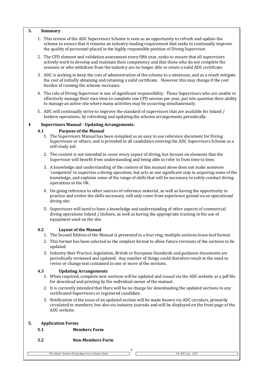#### **3. Summary**

- 1. This review of the ADC Supervisors Scheme is seen as an opportunity to refresh and update the scheme to ensure that it remains an industry-leading requirement that seeks to continually improve the quality of personnel placed in the highly responsible position of Diving Supervisor.
- 2. The CPD element and validation assessment every fifth year, seeks to ensure that all supervisors actively work to develop and maintain their competency and that those who do not complete the sessions or who withdraw from the industry are no longer able to retain a valid ADC certificate.
- 3. ADC is seeking to keep the cost of administration of the scheme to a minimum, and as a result mitigate the cost of initially obtaining and retaining a valid certificate. However this may change if the cost burden of running the scheme increases.
- 4. The role of Diving Supervisor is one of significant responsibility. Those Supervisors who are unable to effectively manage their own time to complete one CPD session per year, put into question their ability to manage an active site where many activities may be occurring simultaneously.
- 5. ADC will continually strive to improve the standard of supervisors that are available for Inland / Inshore operations, by refreshing and updating the scheme arrangements periodically.

#### **4 Supervisors Manual - Updating Arrangements.**

#### **4.1 Purpose of the Manual**

- 1. The Supervisors Manual has been compiled as an easy to use reference document for Diving Supervisors or others, and is provided to all candidates entering the ADC Supervisors Scheme as a self-study aid.
- 2. The content is not intended to cover every aspect of diving, but focuses on elements that the Supervisor will benefit from understanding and being able to refer to from time to time.
- 3. A knowledge and understanding of the content of this manual alone does not make someone 'competent' to supervise a diving operation, but acts as one significant step in acquiring some of the knowledge, and explains some of the range of skills that will be necessary to safely conduct diving operations in the UK.
- 4. On-going reference to other sources of reference material, as well as having the opportunity to practice and evolve the skills necessary, will only come from experience gained on an operational diving site.
- 5. Supervisors will need to have a knowledge and understanding of other aspects of commercial diving operations Inland / Inshore, as well as having the appropriate training in the use of equipment used on the site.

#### **4.2 Layout of the Manual**

- 1. The Second Edition of the Manual is presented in a four ring, multiple sections loose-leaf format.
- 2. This format has been selected as the simplest format to allow future revisions of the sections to be updated.
- 3. Industry Best Practice, legislation, British or European Standards and guidance documents are periodically reviewed and updated. Any number of things could therefore result in the need to revise or change text contained in one or more of the sections.

#### **4.3 Updating Arrangements**

- 1. When required, complete new sections will be updated and issued via the ADC website as a pdf file for download and printing by the individual owner of the manual.
- 2. It is currently intended that there will be no charge for downloading the updated sections to any certificated Supervisors or registered candidate.
- 3. Notification of the issue of an updated section will be made known via ADC circulars, primarily circulated to members, but also via industry journals and will be displayed on the front page of the ADC website.

4

#### **5. Application Forms**

- **5.1 Members Form**
- **5.2 Non-Members Form**

*The Inland / Inshore Diving Supervisors Scheme Guide UK ADC Ltd – 2022*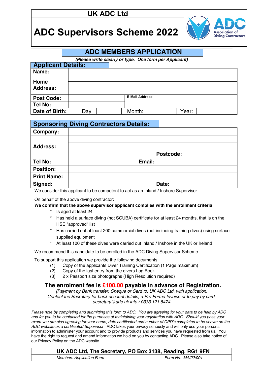## **UK ADC Ltd**

# **ADC Supervisors Scheme 2022**



### **ADC MEMBERS APPLICATION**

*(Please write clearly or type. One form per Applicant)*

| <b>Applicant Details:</b> |     |  |                        |       |
|---------------------------|-----|--|------------------------|-------|
| Name:                     |     |  |                        |       |
| Home                      |     |  |                        |       |
| <b>Address:</b>           |     |  |                        |       |
| <b>Post Code:</b>         |     |  | <b>E Mail Address:</b> |       |
| Tel No:                   |     |  |                        |       |
| Date of Birth:            | Day |  | Month:                 | Year: |

| <b>Sponsoring Diving Contractors Details:</b> |        |           |  |
|-----------------------------------------------|--------|-----------|--|
| Company:                                      |        |           |  |
|                                               |        |           |  |
| <b>Address:</b>                               |        |           |  |
|                                               |        | Postcode: |  |
| Tel No:                                       | Email: |           |  |
| <b>Position:</b>                              |        |           |  |
| <b>Print Name:</b>                            |        |           |  |
| Signed:                                       |        | Date:     |  |

We consider this applicant to be competent to act as an Inland / Inshore Supervisor.

On behalf of the above diving contractor:

#### **We confirm that the above supervisor applicant complies with the enrollment criteria:**

- Is aged at least 24
- \* Has held a surface diving (not SCUBA) certificate for at least 24 months, that is on the HSE "approved" list
- \* Has carried out at least 200 commercial dives (not including training dives) using surface supplied equipment
- \* At least 100 of these dives were carried out Inland / Inshore in the UK or Ireland

We recommend this candidate to be enrolled in the ADC Diving Supervisor Scheme.

To support this application we provide the following documents:

- (1) Copy of the applicants Diver Training Certification (1 Page maximum)
- (2) Copy of the last entry from the divers Log Book
- (3) 2 x Passport size photographs (High Resolution required)

#### **The enrolment fee is £100.00 payable in advance of Registration.**

*(Payment by Bank transfer, Cheque or Card to: UK ADC Ltd, with application. Contact the Secretary for bank account details, a Pro Forma Invoice or to pay by card. secretary@adc-uk.info / 0333 121 5474*

*Please note by completing and submitting this form to ADC. You are agreeing for your data to be held by ADC and for you to be contacted for the purposes of maintaining your registration with ADC. Should you pass your exam you are also agreeing for your name, date certificated and number of CPD's completed to be shown on the ADC website as a certificated Supervisor.* ADC takes your privacy seriously and will only use your personal information to administer your account and to provide products and services you have requested from us. You have the right to request and amend information we hold on you by contacting ADC. Please also take notice of our Privacy Policy on the ADC website.

| UK ADC Ltd, The Secretary, PO Box 3138, Reading, RG1 9FN |                    |  |
|----------------------------------------------------------|--------------------|--|
| <b>Members Application Form</b>                          | Form No: MA/22/001 |  |